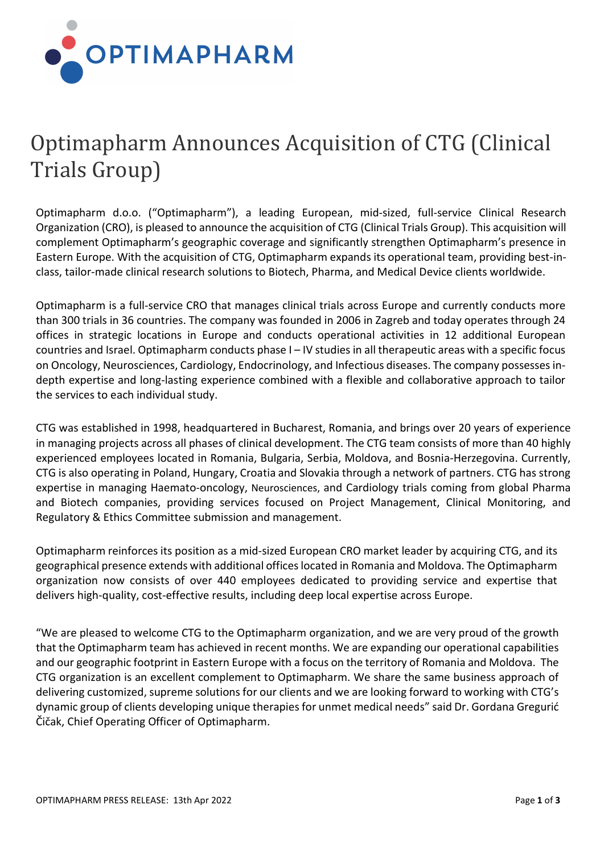

## Optimapharm Announces Acquisition of CTG (Clinical Trials Group)

Optimapharm d.o.o. ("Optimapharm"), a leading European, mid-sized, full-service Clinical Research Organization (CRO), is pleased to announce the acquisition of CTG (Clinical Trials Group). This acquisition will complement Optimapharm's geographic coverage and significantly strengthen Optimapharm's presence in Eastern Europe. With the acquisition of CTG, Optimapharm expands its operational team, providing best-inclass, tailor-made clinical research solutions to Biotech, Pharma, and Medical Device clients worldwide.

Optimapharm is a full-service CRO that manages clinical trials across Europe and currently conducts more than 300 trials in 36 countries. The company was founded in 2006 in Zagreb and today operates through 24 offices in strategic locations in Europe and conducts operational activities in 12 additional European countries and Israel. Optimapharm conducts phase I – IV studies in all therapeutic areas with a specific focus on Oncology, Neurosciences, Cardiology, Endocrinology, and Infectious diseases. The company possesses indepth expertise and long-lasting experience combined with a flexible and collaborative approach to tailor the services to each individual study.

CTG was established in 1998, headquartered in Bucharest, Romania, and brings over 20 years of experience in managing projects across all phases of clinical development. The CTG team consists of more than 40 highly experienced employees located in Romania, Bulgaria, Serbia, Moldova, and Bosnia-Herzegovina. Currently, CTG is also operating in Poland, Hungary, Croatia and Slovakia through a network of partners. CTG has strong expertise in managing Haemato-oncology, Neurosciences, and Cardiology trials coming from global Pharma and Biotech companies, providing services focused on Project Management, Clinical Monitoring, and Regulatory & Ethics Committee submission and management.

Optimapharm reinforces its position as a mid-sized European CRO market leader by acquiring CTG, and its geographical presence extends with additional offices located in Romania and Moldova. The Optimapharm organization now consists of over 440 employees dedicated to providing service and expertise that delivers high-quality, cost-effective results, including deep local expertise across Europe.

"We are pleased to welcome CTG to the Optimapharm organization, and we are very proud of the growth that the Optimapharm team has achieved in recent months. We are expanding our operational capabilities and our geographic footprint in Eastern Europe with a focus on the territory of Romania and Moldova. The CTG organization is an excellent complement to Optimapharm. We share the same business approach of delivering customized, supreme solutions for our clients and we are looking forward to working with CTG's dynamic group of clients developing unique therapies for unmet medical needs" said Dr. Gordana Gregurić Čičak, Chief Operating Officer of Optimapharm.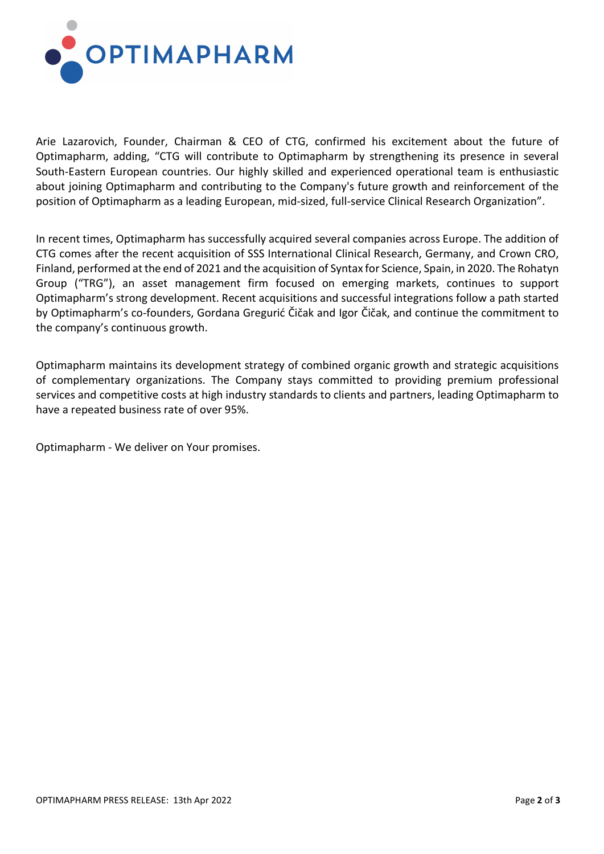

Arie Lazarovich, Founder, Chairman & CEO of CTG, confirmed his excitement about the future of Optimapharm, adding, "CTG will contribute to Optimapharm by strengthening its presence in several South-Eastern European countries. Our highly skilled and experienced operational team is enthusiastic about joining Optimapharm and contributing to the Company's future growth and reinforcement of the position of Optimapharm as a leading European, mid-sized, full-service Clinical Research Organization".

In recent times, Optimapharm has successfully acquired several companies across Europe. The addition of CTG comes after the recent acquisition of SSS International Clinical Research, Germany, and Crown CRO, Finland, performed at the end of 2021 and the acquisition of Syntax for Science, Spain, in 2020. The Rohatyn Group ("TRG"), an asset management firm focused on emerging markets, continues to support Optimapharm's strong development. Recent acquisitions and successful integrations follow a path started by Optimapharm's co-founders, Gordana Gregurić Čičak and Igor Čičak, and continue the commitment to the company's continuous growth.

Optimapharm maintains its development strategy of combined organic growth and strategic acquisitions of complementary organizations. The Company stays committed to providing premium professional services and competitive costs at high industry standards to clients and partners, leading Optimapharm to have a repeated business rate of over 95%.

Optimapharm - We deliver on Your promises.